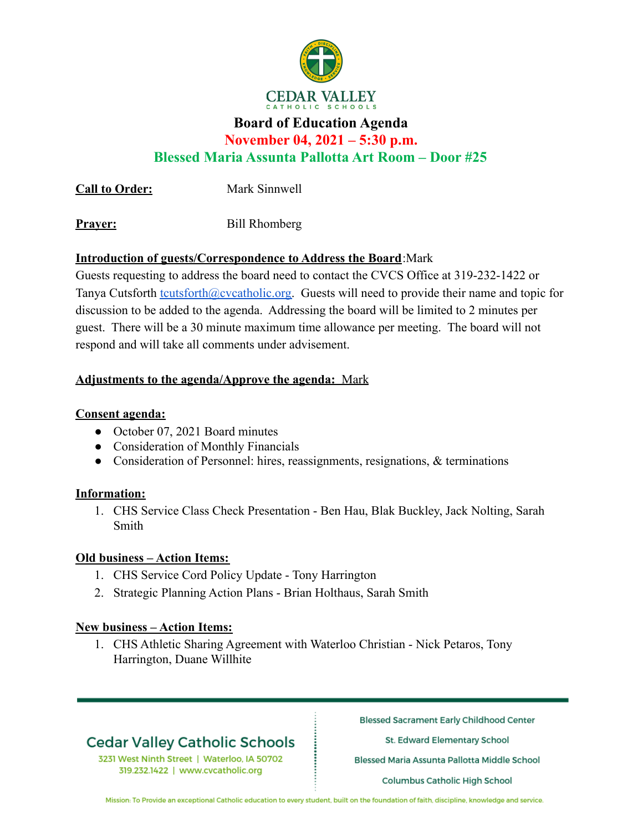

# **Board of Education Agenda**

**November 04, 2021 – 5:30 p.m.**

**Blessed Maria Assunta Pallotta Art Room – Door #25**

**Call to Order:** Mark Sinnwell

**Prayer:** Bill Rhomberg

## **Introduction of guests/Correspondence to Address the Board**:Mark

Guests requesting to address the board need to contact the CVCS Office at 319-232-1422 or Tanya Cutsforth [tcutsforth@cvcatholic.org.](mailto:tcutsforth@cvcatholic.org) Guests will need to provide their name and topic for discussion to be added to the agenda. Addressing the board will be limited to 2 minutes per guest. There will be a 30 minute maximum time allowance per meeting. The board will not respond and will take all comments under advisement.

## **Adjustments to the agenda/Approve the agenda:** Mark

## **Consent agenda:**

- October 07, 2021 Board minutes
- Consideration of Monthly Financials
- Consideration of Personnel: hires, reassignments, resignations, & terminations

#### **Information:**

1. CHS Service Class Check Presentation - Ben Hau, Blak Buckley, Jack Nolting, Sarah Smith

#### **Old business – Action Items:**

- 1. CHS Service Cord Policy Update Tony Harrington
- 2. Strategic Planning Action Plans Brian Holthaus, Sarah Smith

#### **New business – Action Items:**

1. CHS Athletic Sharing Agreement with Waterloo Christian - Nick Petaros, Tony Harrington, Duane Willhite

# **Cedar Valley Catholic Schools**

3231 West Ninth Street | Waterloo, IA 50702 319.232.1422 | www.cvcatholic.org

**Blessed Sacrament Early Childhood Center** 

St. Edward Elementary School

Blessed Maria Assunta Pallotta Middle School

**Columbus Catholic High School** 

Mission: To Provide an exceptional Catholic education to every student, built on the foundation of faith, discipline, knowledge and service.